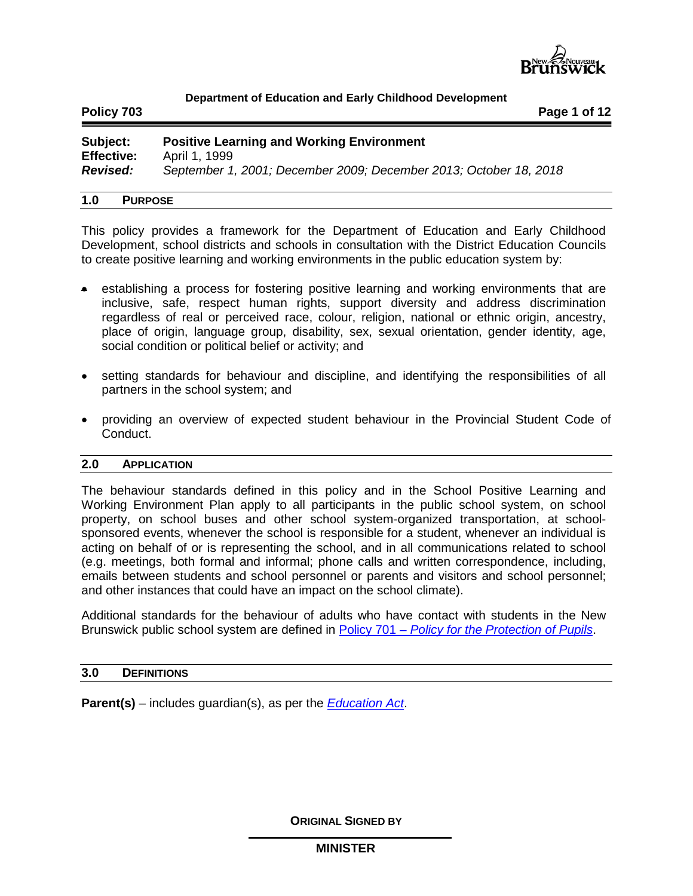

**Policy 703 Page 1 of 12**

| Subject:          | <b>Positive Learning and Working Environment</b>                  |
|-------------------|-------------------------------------------------------------------|
| <b>Effective:</b> | April 1, 1999                                                     |
| <b>Revised:</b>   | September 1, 2001; December 2009; December 2013; October 18, 2018 |

# **1.0 PURPOSE**

This policy provides a framework for the Department of Education and Early Childhood Development, school districts and schools in consultation with the District Education Councils to create positive learning and working environments in the public education system by:

- establishing a process for fostering positive learning and working environments that are inclusive, safe, respect human rights, support diversity and address discrimination regardless of real or perceived race, colour, religion, national or ethnic origin, ancestry, place of origin, language group, disability, sex, sexual orientation, gender identity, age, social condition or political belief or activity; and
- setting standards for behaviour and discipline, and identifying the responsibilities of all partners in the school system; and
- providing an overview of expected student behaviour in the Provincial Student Code of Conduct.

#### **2.0 APPLICATION**

The behaviour standards defined in this policy and in the School Positive Learning and Working Environment Plan apply to all participants in the public school system, on school property, on school buses and other school system-organized transportation, at schoolsponsored events, whenever the school is responsible for a student, whenever an individual is acting on behalf of or is representing the school, and in all communications related to school (e.g. meetings, both formal and informal; phone calls and written correspondence, including, emails between students and school personnel or parents and visitors and school personnel; and other instances that could have an impact on the school climate).

Additional standards for the behaviour of adults who have contact with students in the New Brunswick public school system are defined in Policy 701 – *[Policy for the Protection of](http://www2.gnb.ca/content/dam/gnb/Departments/ed/pdf/K12/policies-politiques/e/701A.pdf) Pupils*.

## **3.0 DEFINITIONS**

**Parent(s)** – includes guardian(s), as per the *[Education Act](http://laws.gnb.ca/en/ShowPdf/cs/E-1.12.pdf)*.

**ORIGINAL SIGNED BY**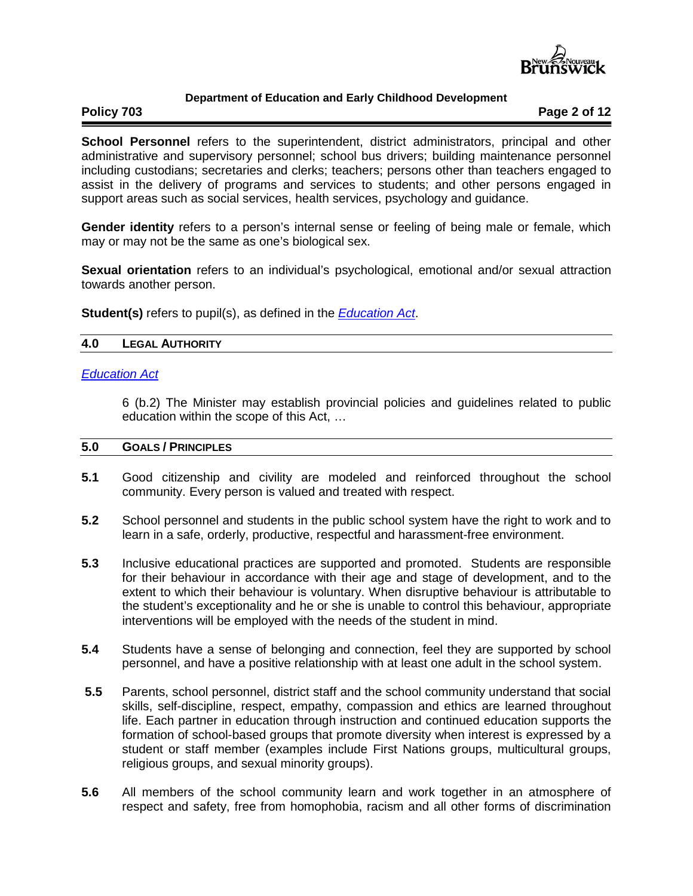

# **Policy 703 Page 2 of 12**

**School Personnel** refers to the superintendent, district administrators, principal and other administrative and supervisory personnel; school bus drivers; building maintenance personnel including custodians; secretaries and clerks; teachers; persons other than teachers engaged to assist in the delivery of programs and services to students; and other persons engaged in support areas such as social services, health services, psychology and guidance.

**Gender identity** refers to a person's internal sense or feeling of being male or female, which may or may not be the same as one's biological sex.

**Sexual orientation** refers to an individual's psychological, emotional and/or sexual attraction towards another person.

**Student(s)** refers to pupil(s), as defined in the *[Education Act](http://laws.gnb.ca/en/ShowPdf/cs/E-1.12.pdf)*.

### **4.0 LEGAL AUTHORITY**

#### *[Education Act](http://laws.gnb.ca/en/ShowPdf/cs/E-1.12.pdf)*

6 (b.2) The Minister may establish provincial policies and guidelines related to public education within the scope of this Act, …

#### **5.0 GOALS / PRINCIPLES**

- **5.1** Good citizenship and civility are modeled and reinforced throughout the school community. Every person is valued and treated with respect.
- **5.2** School personnel and students in the public school system have the right to work and to learn in a safe, orderly, productive, respectful and harassment-free environment.
- **5.3** Inclusive educational practices are supported and promoted. Students are responsible for their behaviour in accordance with their age and stage of development, and to the extent to which their behaviour is voluntary. When disruptive behaviour is attributable to the student's exceptionality and he or she is unable to control this behaviour, appropriate interventions will be employed with the needs of the student in mind.
- **5.4** Students have a sense of belonging and connection, feel they are supported by school personnel, and have a positive relationship with at least one adult in the school system.
- **5.5** Parents, school personnel, district staff and the school community understand that social skills, self-discipline, respect, empathy, compassion and ethics are learned throughout life. Each partner in education through instruction and continued education supports the formation of school-based groups that promote diversity when interest is expressed by a student or staff member (examples include First Nations groups, multicultural groups, religious groups, and sexual minority groups).
- **5.6** All members of the school community learn and work together in an atmosphere of respect and safety, free from homophobia, racism and all other forms of discrimination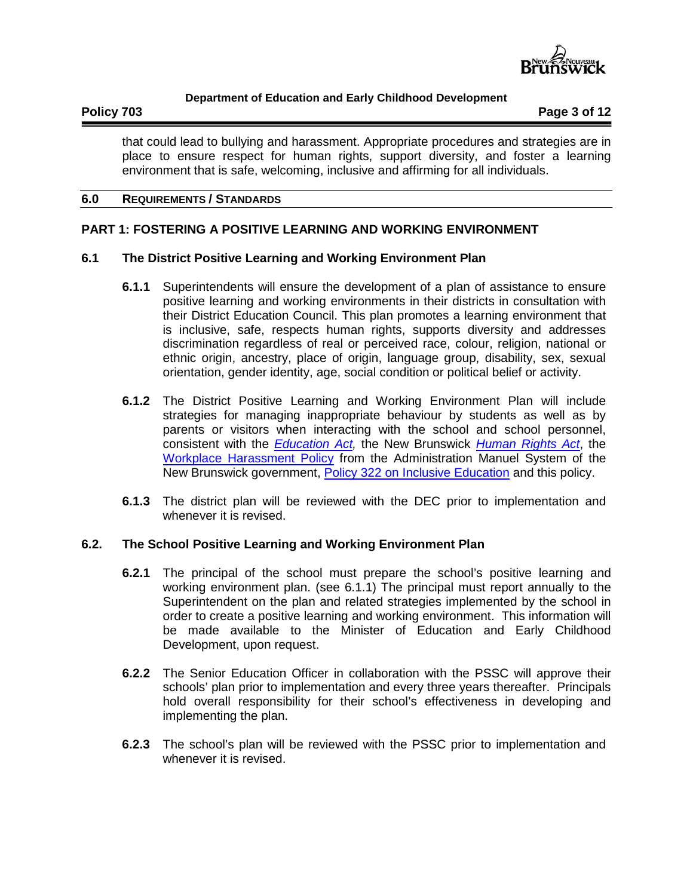

**Policy 703 Page 3 of 12**

that could lead to bullying and harassment. Appropriate procedures and strategies are in place to ensure respect for human rights, support diversity, and foster a learning environment that is safe, welcoming, inclusive and affirming for all individuals.

#### **6.0 REQUIREMENTS / STANDARDS**

# **PART 1: FOSTERING A POSITIVE LEARNING AND WORKING ENVIRONMENT**

### **6.1 The District Positive Learning and Working Environment Plan**

- **6.1.1** Superintendents will ensure the development of a plan of assistance to ensure positive learning and working environments in their districts in consultation with their District Education Council. This plan promotes a learning environment that is inclusive, safe, respects human rights, supports diversity and addresses discrimination regardless of real or perceived race, colour, religion, national or ethnic origin, ancestry, place of origin, language group, disability, sex, sexual orientation, gender identity, age, social condition or political belief or activity.
- **6.1.2** The District Positive Learning and Working Environment Plan will include strategies for managing inappropriate behaviour by students as well as by parents or visitors when interacting with the school and school personnel, consistent with the *[Education Act,](http://laws.gnb.ca/en/ShowPdf/cs/E-1.12.pdf)* the New Brunswick *[Human Rights Act](http://laws.gnb.ca/en/ShowPdf/cs/2011-c.171.pdf)*, the [Workplace Harassment Policy](http://intranet.gnb.ca/intellinet/adminman/adminman/2913-e.asp) from the Administration Manuel System of the New Brunswick government, [Policy 322 on Inclusive Education](http://www2.gnb.ca/content/dam/gnb/Departments/ed/pdf/K12/policies-politiques/e/322A.pdf) and this policy.
- **6.1.3** The district plan will be reviewed with the DEC prior to implementation and whenever it is revised.

#### **6.2. The School Positive Learning and Working Environment Plan**

- **6.2.1** The principal of the school must prepare the school's positive learning and working environment plan. (see 6.1.1) The principal must report annually to the Superintendent on the plan and related strategies implemented by the school in order to create a positive learning and working environment. This information will be made available to the Minister of Education and Early Childhood Development, upon request.
- **6.2.2** The Senior Education Officer in collaboration with the PSSC will approve their schools' plan prior to implementation and every three years thereafter. Principals hold overall responsibility for their school's effectiveness in developing and implementing the plan.
- **6.2.3** The school's plan will be reviewed with the PSSC prior to implementation and whenever it is revised.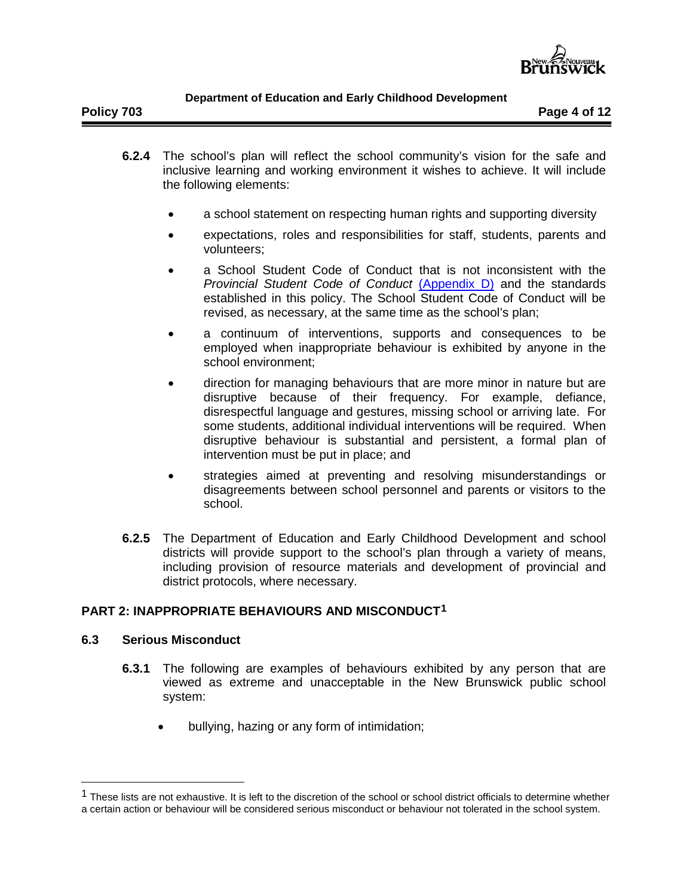

- **6.2.4** The school's plan will reflect the school community's vision for the safe and inclusive learning and working environment it wishes to achieve. It will include the following elements:
	- a school statement on respecting human rights and supporting diversity
	- expectations, roles and responsibilities for staff, students, parents and volunteers;
	- a School Student Code of Conduct that is not inconsistent with the *Provincial Student Code of Conduct* [\(Appendix D\)](http://www2.gnb.ca/content/dam/gnb/Departments/ed/pdf/K12/policies-politiques/e/703AD.pdf) and the standards established in this policy. The School Student Code of Conduct will be revised, as necessary, at the same time as the school's plan;
	- a continuum of interventions, supports and consequences to be employed when inappropriate behaviour is exhibited by anyone in the school environment;
	- direction for managing behaviours that are more minor in nature but are disruptive because of their frequency. For example, defiance, disrespectful language and gestures, missing school or arriving late. For some students, additional individual interventions will be required. When disruptive behaviour is substantial and persistent, a formal plan of intervention must be put in place; and
	- strategies aimed at preventing and resolving misunderstandings or disagreements between school personnel and parents or visitors to the school.
- **6.2.5** The Department of Education and Early Childhood Development and school districts will provide support to the school's plan through a variety of means, including provision of resource materials and development of provincial and district protocols, where necessary.

# **PART 2: INAPPROPRIATE BEHAVIOURS AND MISCONDUCT[1](#page-3-0)**

# **6.3 Serious Misconduct**

- **6.3.1** The following are examples of behaviours exhibited by any person that are viewed as extreme and unacceptable in the New Brunswick public school system:
	- bullying, hazing or any form of intimidation;

<span id="page-3-0"></span><sup>&</sup>lt;sup>1</sup> These lists are not exhaustive. It is left to the discretion of the school or school district officials to determine whether a certain action or behaviour will be considered serious misconduct or behaviour not tolerated in the school system.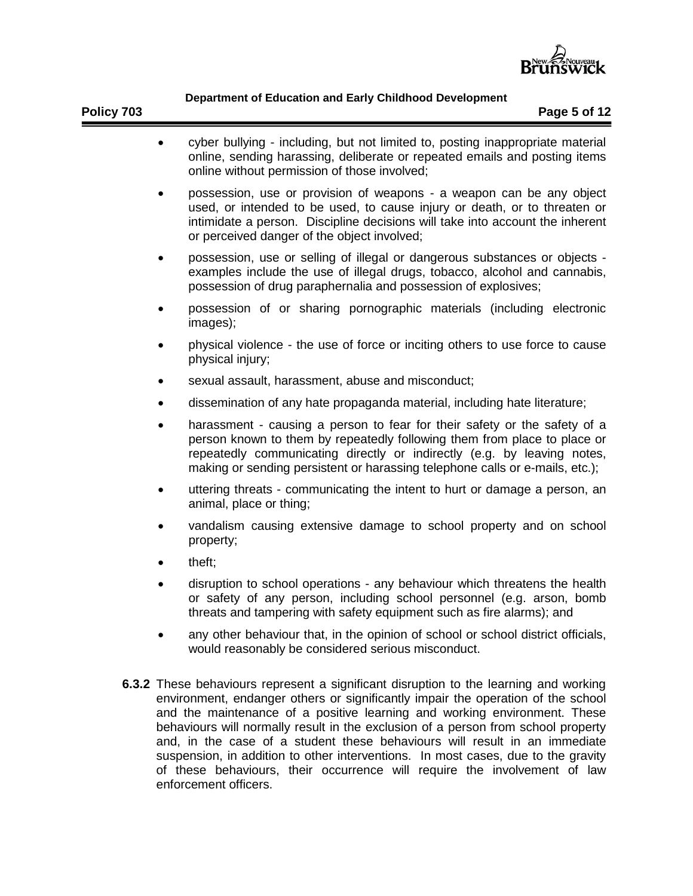

- cyber bullying including, but not limited to, posting inappropriate material online, sending harassing, deliberate or repeated emails and posting items online without permission of those involved; • possession, use or provision of weapons - a weapon can be any object used, or intended to be used, to cause injury or death, or to threaten or intimidate a person. Discipline decisions will take into account the inherent or perceived danger of the object involved; • possession, use or selling of illegal or dangerous substances or objects examples include the use of illegal drugs, tobacco, alcohol and cannabis, possession of drug paraphernalia and possession of explosives; • possession of or sharing pornographic materials (including electronic images); • physical violence - the use of force or inciting others to use force to cause physical injury; sexual assault, harassment, abuse and misconduct; • dissemination of any hate propaganda material, including hate literature; • harassment - causing a person to fear for their safety or the safety of a person known to them by repeatedly following them from place to place or repeatedly communicating directly or indirectly (e.g. by leaving notes, making or sending persistent or harassing telephone calls or e-mails, etc.); • uttering threats - communicating the intent to hurt or damage a person, an animal, place or thing; • vandalism causing extensive damage to school property and on school property;
- theft;
- disruption to school operations any behaviour which threatens the health or safety of any person, including school personnel (e.g. arson, bomb threats and tampering with safety equipment such as fire alarms); and
- any other behaviour that, in the opinion of school or school district officials, would reasonably be considered serious misconduct.
- **6.3.2** These behaviours represent a significant disruption to the learning and working environment, endanger others or significantly impair the operation of the school and the maintenance of a positive learning and working environment. These behaviours will normally result in the exclusion of a person from school property and, in the case of a student these behaviours will result in an immediate suspension, in addition to other interventions. In most cases, due to the gravity of these behaviours, their occurrence will require the involvement of law enforcement officers.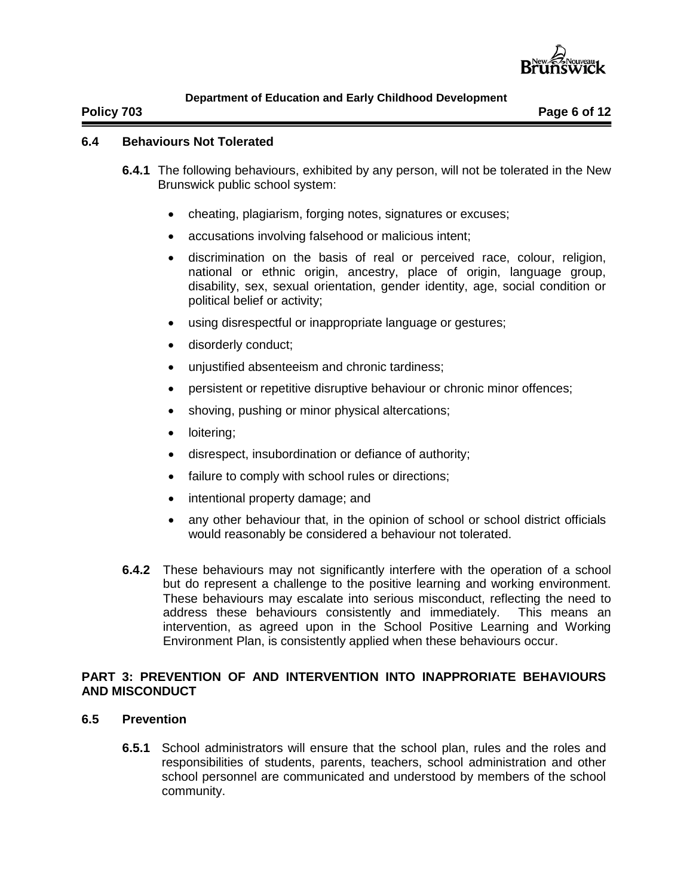

**Policy 703 Page 6 of 12**

## **6.4 Behaviours Not Tolerated**

- **6.4.1** The following behaviours, exhibited by any person, will not be tolerated in the New Brunswick public school system:
	- cheating, plagiarism, forging notes, signatures or excuses;
	- accusations involving falsehood or malicious intent;
	- discrimination on the basis of real or perceived race, colour, religion, national or ethnic origin, ancestry, place of origin, language group, disability, sex, sexual orientation, gender identity, age, social condition or political belief or activity;
	- using disrespectful or inappropriate language or gestures;
	- disorderly conduct;
	- unjustified absenteeism and chronic tardiness;
	- persistent or repetitive disruptive behaviour or chronic minor offences;
	- shoving, pushing or minor physical altercations;
	- loitering;
	- disrespect, insubordination or defiance of authority;
	- failure to comply with school rules or directions;
	- intentional property damage; and
	- any other behaviour that, in the opinion of school or school district officials would reasonably be considered a behaviour not tolerated.
- **6.4.2** These behaviours may not significantly interfere with the operation of a school but do represent a challenge to the positive learning and working environment. These behaviours may escalate into serious misconduct, reflecting the need to address these behaviours consistently and immediately. This means an intervention, as agreed upon in the School Positive Learning and Working Environment Plan, is consistently applied when these behaviours occur.

# **PART 3: PREVENTION OF AND INTERVENTION INTO INAPPRORIATE BEHAVIOURS AND MISCONDUCT**

- **6.5 Prevention**
	- **6.5.1** School administrators will ensure that the school plan, rules and the roles and responsibilities of students, parents, teachers, school administration and other school personnel are communicated and understood by members of the school community.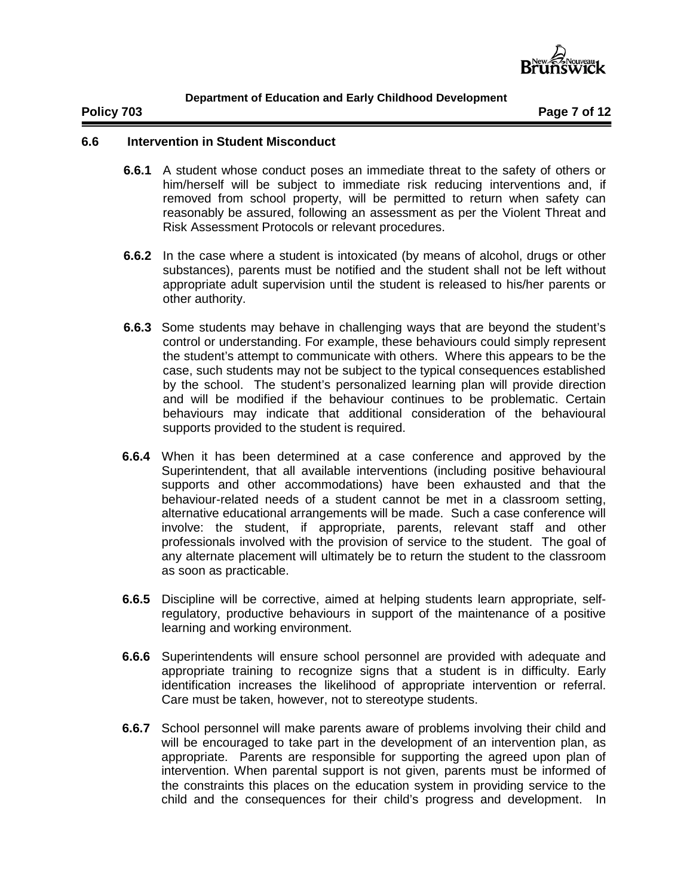

**Policy 703 Page 7 of 12**

# **6.6 Intervention in Student Misconduct**

- **6.6.1** A student whose conduct poses an immediate threat to the safety of others or him/herself will be subject to immediate risk reducing interventions and, if removed from school property, will be permitted to return when safety can reasonably be assured, following an assessment as per the Violent Threat and Risk Assessment Protocols or relevant procedures.
- **6.6.2** In the case where a student is intoxicated (by means of alcohol, drugs or other substances), parents must be notified and the student shall not be left without appropriate adult supervision until the student is released to his/her parents or other authority.
- **6.6.3** Some students may behave in challenging ways that are beyond the student's control or understanding. For example, these behaviours could simply represent the student's attempt to communicate with others. Where this appears to be the case, such students may not be subject to the typical consequences established by the school. The student's personalized learning plan will provide direction and will be modified if the behaviour continues to be problematic. Certain behaviours may indicate that additional consideration of the behavioural supports provided to the student is required.
- **6.6.4** When it has been determined at a case conference and approved by the Superintendent, that all available interventions (including positive behavioural supports and other accommodations) have been exhausted and that the behaviour-related needs of a student cannot be met in a classroom setting, alternative educational arrangements will be made. Such a case conference will involve: the student, if appropriate, parents, relevant staff and other professionals involved with the provision of service to the student. The goal of any alternate placement will ultimately be to return the student to the classroom as soon as practicable.
- **6.6.5** Discipline will be corrective, aimed at helping students learn appropriate, selfregulatory, productive behaviours in support of the maintenance of a positive learning and working environment.
- **6.6.6** Superintendents will ensure school personnel are provided with adequate and appropriate training to recognize signs that a student is in difficulty. Early identification increases the likelihood of appropriate intervention or referral. Care must be taken, however, not to stereotype students.
- **6.6.7** School personnel will make parents aware of problems involving their child and will be encouraged to take part in the development of an intervention plan, as appropriate. Parents are responsible for supporting the agreed upon plan of intervention. When parental support is not given, parents must be informed of the constraints this places on the education system in providing service to the child and the consequences for their child's progress and development. In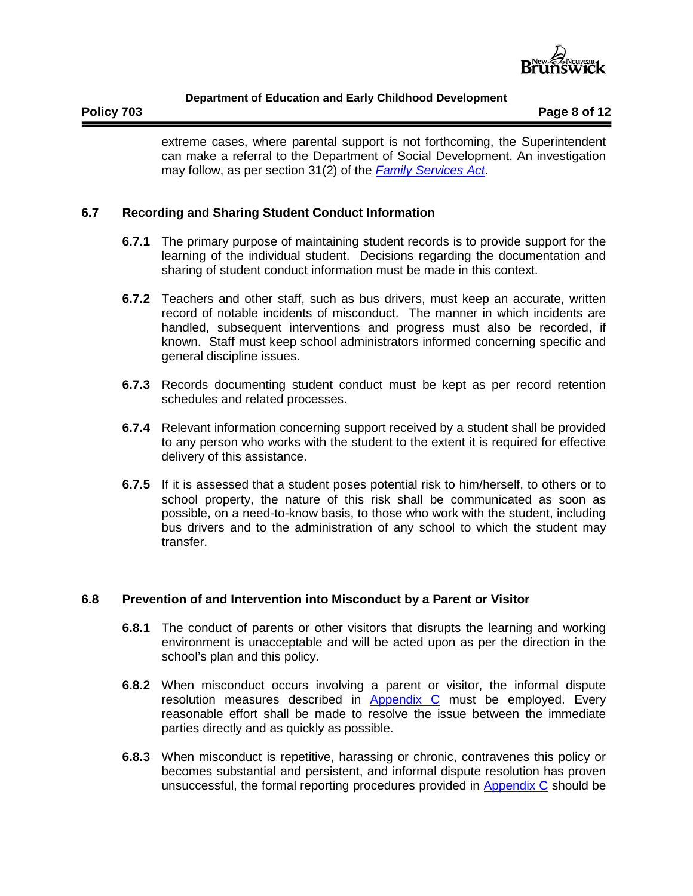

extreme cases, where parental support is not forthcoming, the Superintendent can make a referral to the Department of Social Development. An investigation may follow, as per section 31(2) of the *[Family Services Act](http://laws.gnb.ca/fr/ShowPdf/cs/F-2.2.pdf)*.

# **6.7 Recording and Sharing Student Conduct Information**

- **6.7.1** The primary purpose of maintaining student records is to provide support for the learning of the individual student. Decisions regarding the documentation and sharing of student conduct information must be made in this context.
- **6.7.2** Teachers and other staff, such as bus drivers, must keep an accurate, written record of notable incidents of misconduct. The manner in which incidents are handled, subsequent interventions and progress must also be recorded, if known. Staff must keep school administrators informed concerning specific and general discipline issues.
- **6.7.3** Records documenting student conduct must be kept as per record retention schedules and related processes.
- **6.7.4** Relevant information concerning support received by a student shall be provided to any person who works with the student to the extent it is required for effective delivery of this assistance.
- **6.7.5** If it is assessed that a student poses potential risk to him/herself, to others or to school property, the nature of this risk shall be communicated as soon as possible, on a need-to-know basis, to those who work with the student, including bus drivers and to the administration of any school to which the student may transfer.

# **6.8 Prevention of and Intervention into Misconduct by a Parent or Visitor**

- **6.8.1** The conduct of parents or other visitors that disrupts the learning and working environment is unacceptable and will be acted upon as per the direction in the school's plan and this policy.
- **6.8.2** When misconduct occurs involving a parent or visitor, the informal dispute resolution measures described in [Appendix C](http://www2.gnb.ca/content/dam/gnb/Departments/ed/pdf/K12/policies-politiques/e/703AC.pdf) must be employed. Every reasonable effort shall be made to resolve the issue between the immediate parties directly and as quickly as possible.
- **6.8.3** When misconduct is repetitive, harassing or chronic, contravenes this policy or becomes substantial and persistent, and informal dispute resolution has proven unsuccessful, the formal reporting procedures provided in [Appendix C](http://www2.gnb.ca/content/dam/gnb/Departments/ed/pdf/K12/policies-politiques/e/703AC.pdf) should be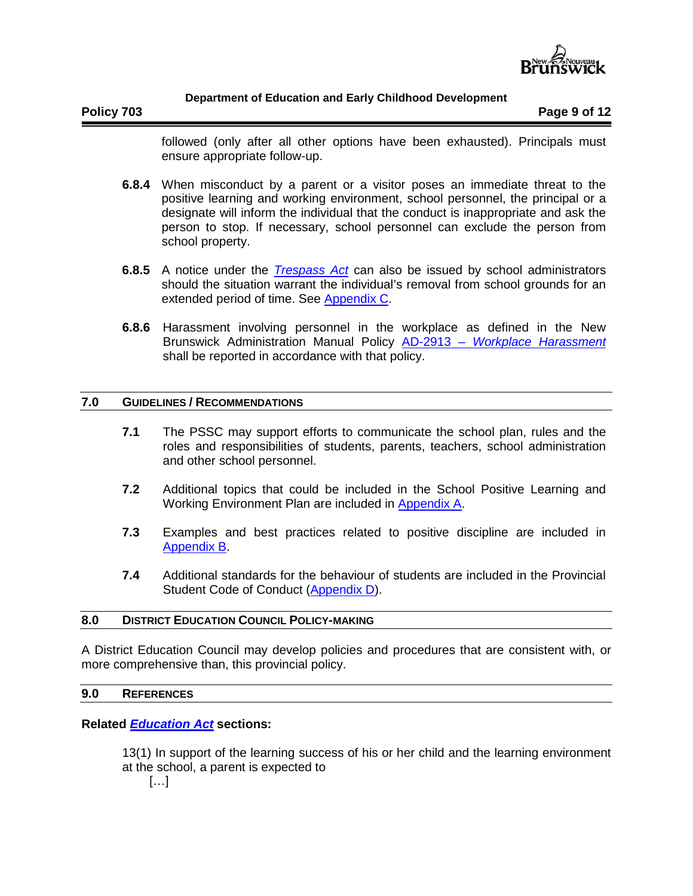

**Policy 703 Page 9 of 12**

followed (only after all other options have been exhausted). Principals must ensure appropriate follow-up.

- **6.8.4** When misconduct by a parent or a visitor poses an immediate threat to the positive learning and working environment, school personnel, the principal or a designate will inform the individual that the conduct is inappropriate and ask the person to stop. If necessary, school personnel can exclude the person from school property.
- **6.8.5** A notice under the *[Trespass Act](http://laws.gnb.ca/en/ShowPdf/cs/2012-c.117.pdf)* can also be issued by school administrators should the situation warrant the individual's removal from school grounds for an extended period of time. See [Appendix C.](http://www2.gnb.ca/content/dam/gnb/Departments/ed/pdf/K12/policies-politiques/e/703AC.pdf)
- **6.8.6** Harassment involving personnel in the workplace as defined in the New Brunswick Administration Manual Policy AD-2913 *– [Workplace Harassment](http://intranet.gnb.ca/intellinet/adminman/adminman/2913-e.asp)* shall be reported in accordance with that policy.

#### **7.0 GUIDELINES / RECOMMENDATIONS**

- **7.1** The PSSC may support efforts to communicate the school plan, rules and the roles and responsibilities of students, parents, teachers, school administration and other school personnel.
- **7.2** Additional topics that could be included in the School Positive Learning and Working Environment Plan are included in [Appendix A.](http://www2.gnb.ca/content/dam/gnb/Departments/ed/pdf/K12/policies-politiques/e/703AA.pdf)
- **7.3** Examples and best practices related to positive discipline are included in [Appendix](http://www2.gnb.ca/content/dam/gnb/Departments/ed/pdf/K12/policies-politiques/e/704AB.pdf) B.
- **7.4** Additional standards for the behaviour of students are included in the Provincial Student Code of Conduct [\(Appendix D\)](http://www2.gnb.ca/content/dam/gnb/Departments/ed/pdf/K12/policies-politiques/e/703AD.pdf).

#### **8.0 DISTRICT EDUCATION COUNCIL POLICY-MAKING**

A District Education Council may develop policies and procedures that are consistent with, or more comprehensive than, this provincial policy.

#### **9.0 REFERENCES**

### **Related** *[Education Act](http://laws.gnb.ca/en/ShowPdf/cs/E-1.12.pdf)* **sections:**

13(1) In support of the learning success of his or her child and the learning environment at the school, a parent is expected to

[…]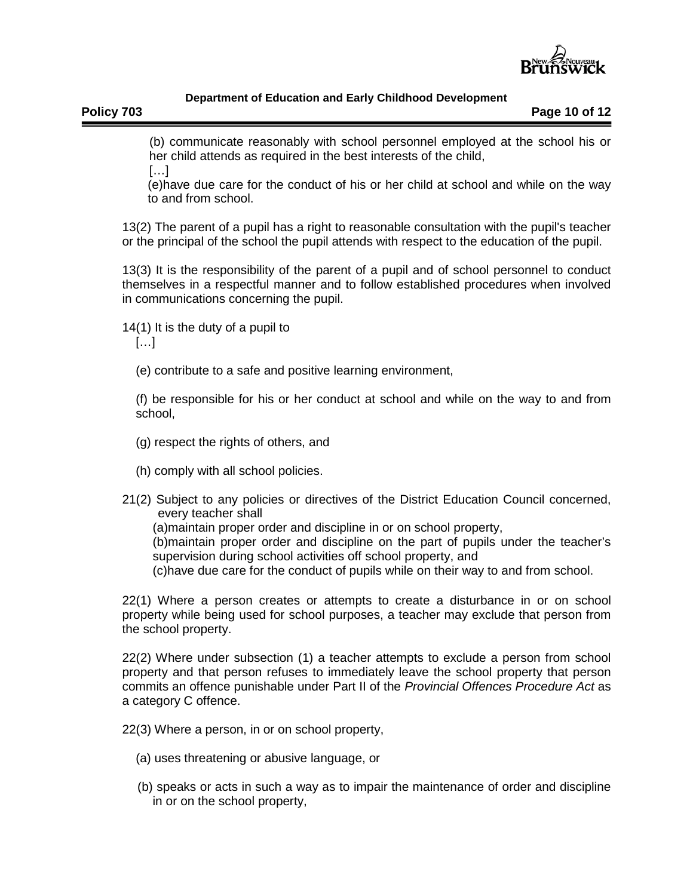

**Policy 703 Page 10 of 12**

(b) communicate reasonably with school personnel employed at the school his or her child attends as required in the best interests of the child,

 $[...]$ 

(e)have due care for the conduct of his or her child at school and while on the way to and from school.

13(2) The parent of a pupil has a right to reasonable consultation with the pupil's teacher or the principal of the school the pupil attends with respect to the education of the pupil.

13(3) It is the responsibility of the parent of a pupil and of school personnel to conduct themselves in a respectful manner and to follow established procedures when involved in communications concerning the pupil.

14(1) It is the duty of a pupil to

[…]

(e) contribute to a safe and positive learning environment,

(f) be responsible for his or her conduct at school and while on the way to and from school,

- (g) respect the rights of others, and
- (h) comply with all school policies.
- 21(2) Subject to any policies or directives of the District Education Council concerned, every teacher shall

(a)maintain proper order and discipline in or on school property,

(b)maintain proper order and discipline on the part of pupils under the teacher's supervision during school activities off school property, and

(c)have due care for the conduct of pupils while on their way to and from school.

22(1) Where a person creates or attempts to create a disturbance in or on school property while being used for school purposes, a teacher may exclude that person from the school property.

22(2) Where under subsection (1) a teacher attempts to exclude a person from school property and that person refuses to immediately leave the school property that person commits an offence punishable under Part II of the *Provincial Offences Procedure Act* as a category C offence.

22(3) Where a person, in or on school property,

- (a) uses threatening or abusive language, or
- (b) speaks or acts in such a way as to impair the maintenance of order and discipline in or on the school property,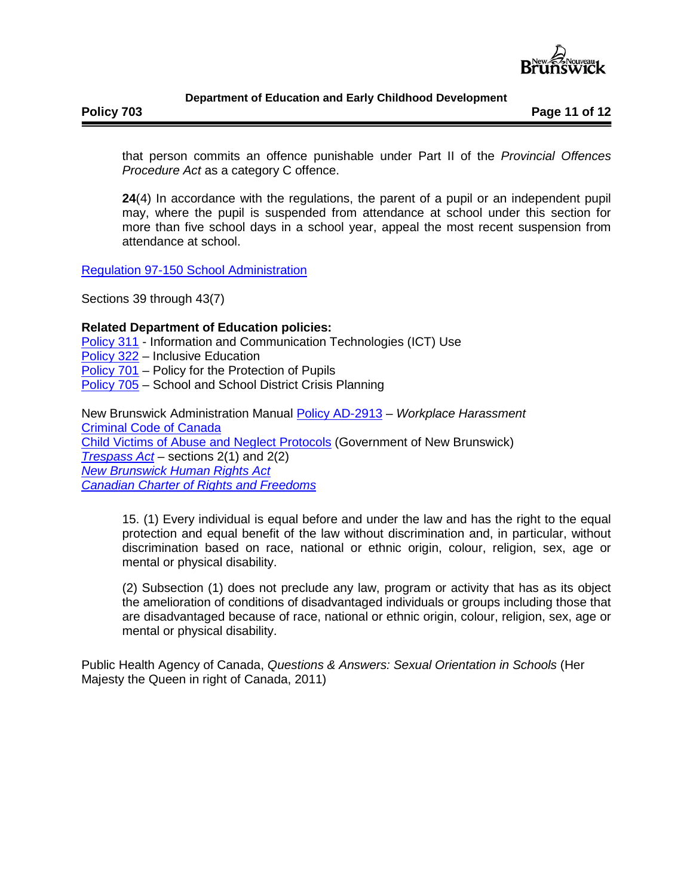

**Policy 703 Page 11 of 12**

that person commits an offence punishable under Part II of the *Provincial Offences Procedure Act* as a category C offence.

**24**(4) In accordance with the regulations, the parent of a pupil or an independent pupil may, where the pupil is suspended from attendance at school under this section for more than five school days in a school year, appeal the most recent suspension from attendance at school.

[Regulation 97-150 School Administration](http://laws.gnb.ca/en/ShowPdf/cr/97-150.pdf)

Sections 39 through 43(7)

### **Related Department of Education policies:**

[Policy 311](http://www2.gnb.ca/content/dam/gnb/Departments/ed/pdf/K12/policies-politiques/e/311A.pdf) - Information and Communication Technologies (ICT) Use

[Policy 322](http://www2.gnb.ca/content/dam/gnb/Departments/ed/pdf/K12/policies-politiques/e/322A.pdf) - Inclusive Education

[Policy 701](http://www2.gnb.ca/content/dam/gnb/Departments/ed/pdf/K12/policies-politiques/e/701A.pdf) – Policy for the Protection of Pupils

[Policy 705](http://www2.gnb.ca/content/dam/gnb/Departments/ed/pdf/K12/policies-politiques/e/705A.pdf) – School and School District Crisis Planning

New Brunswick Administration Manual [Policy AD-2913](http://intranet.gnb.ca/intellinet/adminman/adminman/2913-e.asp) – *Workplace Harassment* [Criminal Code of Canada](http://laws-lois.justice.gc.ca/eng/acts/C-46/) [Child Victims of Abuse](http://www2.gnb.ca/content/dam/gnb/Departments/sd-ds/pdf/Protection/Child/ChildAbuseProtocols05-e.pdf) and Neglect Protocols (Government of New Brunswick) *[Trespass Act](http://laws.gnb.ca/en/ShowPdf/cs/2012-c.117.pdf)* – sections 2(1) and 2(2) *[New Brunswick Human Rights Act](http://laws.gnb.ca/en/ShowPdf/cs/2011-c.171.pdf) [Canadian Charter of Rights and Freedoms](http://laws-lois.justice.gc.ca/eng/const/page-15.html)*

15. (1) Every individual is equal before and under the law and has the right to the equal protection and equal benefit of the law without discrimination and, in particular, without discrimination based on race, national or ethnic origin, colour, religion, sex, age or mental or physical disability.

(2) Subsection (1) does not preclude any law, program or activity that has as its object the amelioration of conditions of disadvantaged individuals or groups including those that are disadvantaged because of race, national or ethnic origin, colour, religion, sex, age or mental or physical disability.

Public Health Agency of Canada, *Questions & Answers: Sexual Orientation in Schools* (Her Majesty the Queen in right of Canada, 2011)